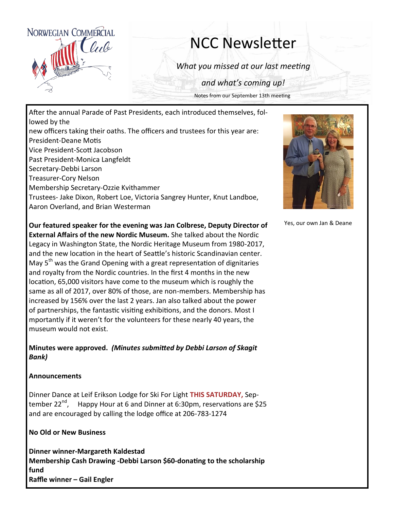

# NCC Newsletter

*What you missed at our last meeting*

*and what's coming up!*

Notes from our September 13th meeting

After the annual Parade of Past Presidents, each introduced themselves, followed by the new officers taking their oaths. The officers and trustees for this year are: President-Deane Motis Vice President-Scott Jacobson Past President-Monica Langfeldt Secretary-Debbi Larson Treasurer-Cory Nelson Membership Secretary-Ozzie Kvithammer Trustees- Jake Dixon, Robert Loe, Victoria Sangrey Hunter, Knut Landboe, Aaron Overland, and Brian Westerman

**Our featured speaker for the evening was Jan Colbrese, Deputy Director of External Affairs of the new Nordic Museum.** She talked about the Nordic Legacy in Washington State, the Nordic Heritage Museum from 1980-2017, and the new location in the heart of Seattle's historic Scandinavian center. May 5<sup>th</sup> was the Grand Opening with a great representation of dignitaries and royalty from the Nordic countries. In the first 4 months in the new location, 65,000 visitors have come to the museum which is roughly the same as all of 2017, over 80% of those, are non-members. Membership has increased by 156% over the last 2 years. Jan also talked about the power of partnerships, the fantastic visiting exhibitions, and the donors. Most I mportantly if it weren't for the volunteers for these nearly 40 years, the museum would not exist.

### **Minutes were approved.** *(Minutes submitted by Debbi Larson of Skagit Bank)*

#### **Announcements**

Dinner Dance at Leif Erikson Lodge for Ski For Light **THIS SATURDAY,** September 22 $^{\text{nd}}$ , Happy Hour at 6 and Dinner at 6:30pm, reservations are \$25 and are encouraged by calling the lodge office at 206-783-1274

#### **No Old or New Business**

**Dinner winner-Margareth Kaldestad Membership Cash Drawing -Debbi Larson \$60-donating to the scholarship fund Raffle winner – Gail Engler**



Yes, our own Jan & Deane